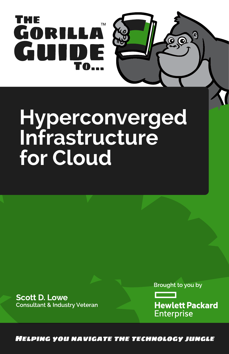

# **Hyperconverged Infrastructure for Cloud**

**Scott D. Lowe Consultant & Industry Veteran**  Brought to you by

 $\bullet$ 

**Hewlett Packard Enterprise** 

**HELPING YOU NAVIGATE THE TECHNOLOGY JUNGLE**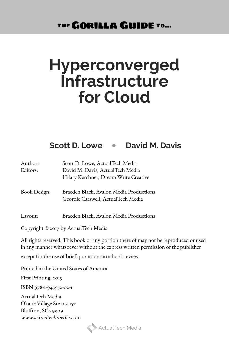THE **GORILLA GUIDE TO...** 

## **Hyperconverged Infrastructure for Cloud**

### **Scott D. Lowe** • **David M. Davis**

| Author:      | Scott D. Lowe, ActualTech Media                                               |
|--------------|-------------------------------------------------------------------------------|
| Editors:     | David M. Davis, ActualTech Media                                              |
|              | Hilary Kerchner, Dream Write Creative                                         |
| Book Design: | Braeden Black, Avalon Media Productions<br>Geordie Carswell, ActualTech Media |
| Layout:      | Braeden Black, Avalon Media Productions                                       |
|              |                                                                               |

Copyright © 2017 by ActualTech Media

All rights reserved. This book or any portion there of may not be reproduced or used in any manner whatsoever without the express written permission of the publisher except for the use of brief quotations in a book review.

Printed in the United States of America

First Printing, 2015

ISBN 978-1-943952-02-1

ActualTech Media Okatie Village Ste 103-157 Bluffton, SC 29909 www.actualtechmedia.com

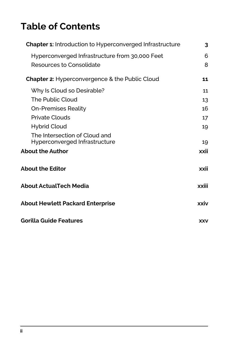### **Table of Contents**

| Chapter 1: Introduction to Hyperconverged Infrastructure       |            |
|----------------------------------------------------------------|------------|
| Hyperconverged Infrastructure from 30,000 Feet                 | 6          |
| Resources to Consolidate                                       | 8          |
| Chapter 2: Hyperconvergence & the Public Cloud                 | 11         |
| Why Is Cloud so Desirable?                                     | 11         |
| The Public Cloud                                               | 13         |
| On-Premises Reality                                            | 16         |
| <b>Private Clouds</b>                                          | 17         |
| Hybrid Cloud                                                   | 19         |
| The Intersection of Cloud and<br>Hyperconverged Infrastructure | 19         |
| <b>About the Author</b>                                        | xxii       |
| <b>About the Editor</b>                                        | xxii       |
| About ActualTech Media                                         | xxiii      |
| <b>About Hewlett Packard Enterprise</b>                        |            |
| Gorilla Guide Features                                         | <b>XXV</b> |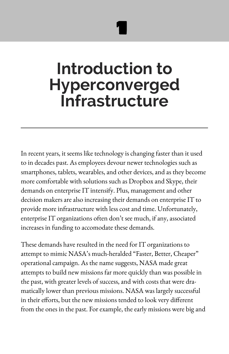1

# <span id="page-3-0"></span>**Introduction to Hyperconverged Infrastructure**

In recent years, it seems like technology is changing faster than it used to in decades past. As employees devour newer technologies such as smartphones, tablets, wearables, and other devices, and as they become more comfortable with solutions such as Dropbox and Skype, their demands on enterprise IT intensify. Plus, management and other decision makers are also increasing their demands on enterprise IT to provide more infrastructure with less cost and time. Unfortunately, enterprise IT organizations often don't see much, if any, associated increases in funding to accomodate these demands.

These demands have resulted in the need for IT organizations to attempt to mimic NASA's much-heralded "Faster, Better, Cheaper" operational campaign. As the name suggests, NASA made great attempts to build new missions far more quickly than was possible in the past, with greater levels of success, and with costs that were dramatically lower than previous missions. NASA was largely successful in their efforts, but the new missions tended to look very different from the ones in the past. For example, the early missions were big and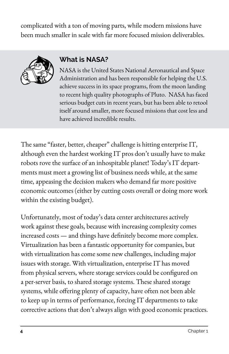complicated with a ton of moving parts, while modern missions have been much smaller in scale with far more focused mission deliverables.



### **What is NASA?**

NASA is the United States National Aeronautical and Space Administration and has been responsible for helping the U.S. achieve success in its space programs, from the moon landing to recent high quality photographs of Pluto. NASA has faced serious budget cuts in recent years, but has been able to retool itself around smaller, more focused missions that cost less and have achieved incredible results.

The same "faster, better, cheaper" challenge is hitting enterprise IT, although even the hardest working IT pros don't usually have to make robots rove the surface of an inhospitable planet! Today's IT departments must meet a growing list of business needs while, at the same time, appeasing the decision makers who demand far more positive economic outcomes (either by cutting costs overall or doing more work within the existing budget).

Unfortunately, most of today's data center architectures actively work against these goals, because with increasing complexity comes increased costs — and things have definitely become more complex. Virtualization has been a fantastic opportunity for companies, but with virtualization has come some new challenges, including major issues with storage. With virtualization, enterprise IT has moved from physical servers, where storage services could be configured on a per-server basis, to shared storage systems. These shared storage systems, while offering plenty of capacity, have often not been able to keep up in terms of performance, forcing IT departments to take corrective actions that don't always align with good economic practices.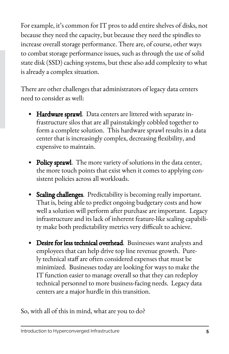For example, it's common for IT pros to add entire shelves of disks, not because they need the capacity, but because they need the spindles to increase overall storage performance. There are, of course, other ways to combat storage performance issues, such as through the use of solid state disk (SSD) caching systems, but these also add complexity to what is already a complex situation.

There are other challenges that administrators of legacy data centers need to consider as well:

- Hardware sprawl. Data centers are littered with separate infrastructure silos that are all painstakingly cobbled together to form a complete solution. This hardware sprawl results in a data center that is increasingly complex, decreasing flexibility, and expensive to maintain.
- Policy sprawl. The more variety of solutions in the data center, the more touch points that exist when it comes to applying consistent policies across all workloads.
- Scaling challenges. Predictability is becoming really important. That is, being able to predict ongoing budgetary costs and how well a solution will perform after purchase are important. Legacy infrastructure and its lack of inherent feature-like scaling capability make both predictability metrics very difficult to achieve.
- Desire for less technical overhead. Businesses want analysts and employees that can help drive top line revenue growth. Purely technical staff are often considered expenses that must be minimized. Businesses today are looking for ways to make the IT function easier to manage overall so that they can redeploy technical personnel to more business-facing needs. Legacy data centers are a major hurdle in this transition.

So, with all of this in mind, what are you to do?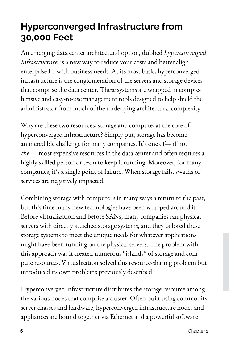### <span id="page-6-0"></span>**Hyperconverged Infrastructure from 30,000 Feet**

An emerging data center architectural option, dubbed hyperconverged infrastructure, is a new way to reduce your costs and better align enterprise IT with business needs. At its most basic, hyperconverged infrastructure is the conglomeration of the servers and storage devices that comprise the data center. These systems are wrapped in comprehensive and easy-to-use management tools designed to help shield the administrator from much of the underlying architectural complexity.

Why are these two resources, storage and compute, at the core of hyperconverged infrastructure? Simply put, storage has become an incredible challenge for many companies. It's one of— if not the — most expensive resources in the data center and often requires a highly skilled person or team to keep it running. Moreover, for many companies, it's a single point of failure. When storage fails, swaths of services are negatively impacted.

Combining storage with compute is in many ways a return to the past, but this time many new technologies have been wrapped around it. Before virtualization and before SANs, many companies ran physical servers with directly attached storage systems, and they tailored these storage systems to meet the unique needs for whatever applications might have been running on the physical servers. The problem with this approach was it created numerous "islands" of storage and compute resources. Virtualization solved this resource-sharing problem but introduced its own problems previously described.

Hyperconverged infrastructure distributes the storage resource among the various nodes that comprise a cluster. Often built using commodity server chasses and hardware, hyperconverged infrastructure nodes and appliances are bound together via Ethernet and a powerful software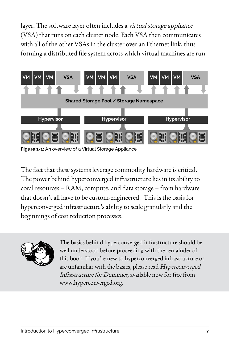layer. The software layer often includes a *virtual storage appliance* (VSA) that runs on each cluster node. Each VSA then communicates with all of the other VSAs in the cluster over an Ethernet link, thus forming a distributed file system across which virtual machines are run.



**Figure 1-1:** An overview of a Virtual Storage Appliance

The fact that these systems leverage commodity hardware is critical. The power behind hyperconverged infrastructure lies in its ability to coral resources – RAM, compute, and data storage – from hardware that doesn't all have to be custom-engineered. This is the basis for hyperconverged infrastructure's ability to scale granularly and the beginnings of cost reduction processes.



The basics behind hyperconverged infrastructure should be well understood before proceeding with the remainder of this book. If you're new to hyperconverged infrastructure or are unfamiliar with the basics, please read Hyperconverged Infrastructure for Dummies, available now for free from www.hyperconverged.org.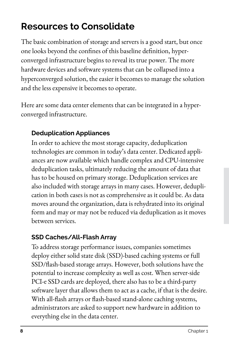### <span id="page-8-0"></span>**Resources to Consolidate**

The basic combination of storage and servers is a good start, but once one looks beyond the confines of this baseline definition, hyperconverged infrastructure begins to reveal its true power. The more hardware devices and software systems that can be collapsed into a hyperconverged solution, the easier it becomes to manage the solution and the less expensive it becomes to operate.

Here are some data center elements that can be integrated in a hyperconverged infrastructure.

#### **Deduplication Appliances**

In order to achieve the most storage capacity, deduplication technologies are common in today's data center. Dedicated appliances are now available which handle complex and CPU-intensive deduplication tasks, ultimately reducing the amount of data that has to be housed on primary storage. Deduplication services are also included with storage arrays in many cases. However, deduplication in both cases is not as comprehensive as it could be. As data moves around the organization, data is rehydrated into its original form and may or may not be reduced via deduplication as it moves between services.

#### **SSD Caches/All-Flash Array**

To address storage performance issues, companies sometimes deploy either solid state disk (SSD)-based caching systems or full SSD/flash-based storage arrays. However, both solutions have the potential to increase complexity as well as cost. When server-side PCI-e SSD cards are deployed, there also has to be a third-party software layer that allows them to act as a cache, if that is the desire. With all-flash arrays or flash-based stand-alone caching systems, administrators are asked to support new hardware in addition to everything else in the data center.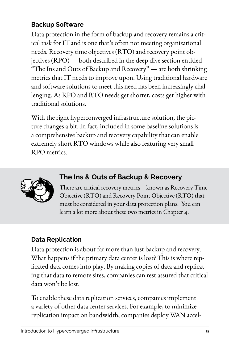#### **Backup Software**

Data protection in the form of backup and recovery remains a critical task for IT and is one that's often not meeting organizational needs. Recovery time objectives (RTO) and recovery point objectives (RPO) — both described in the deep dive section entitled "The Ins and Outs of Backup and Recovery" — are both shrinking metrics that IT needs to improve upon. Using traditional hardware and software solutions to meet this need has been increasingly challenging. As RPO and RTO needs get shorter, costs get higher with traditional solutions.

With the right hyperconverged infrastructure solution, the picture changes a bit. In fact, included in some baseline solutions is a comprehensive backup and recovery capability that can enable extremely short RTO windows while also featuring very small RPO metrics.



#### **The Ins & Outs of Backup & Recovery**

There are critical recovery metrics – known as Recovery Time Objective (RTO) and Recovery Point Objective (RTO) that must be considered in your data protection plans. You can learn a lot more about these two metrics in Chapter 4.

### **Data Replication**

Data protection is about far more than just backup and recovery. What happens if the primary data center is lost? This is where replicated data comes into play. By making copies of data and replicating that data to remote sites, companies can rest assured that critical data won't be lost.

To enable these data replication services, companies implement a variety of other data center services. For example, to minimize replication impact on bandwidth, companies deploy WAN accel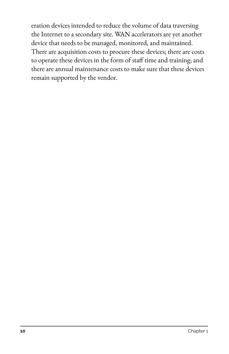eration devices intended to reduce the volume of data traversing the Internet to a secondary site. WAN accelerators are yet another device that needs to be managed, monitored, and maintained. There are acquisition costs to procure these devices; there are costs to operate these devices in the form of staff time and training; and there are annual maintenance costs to make sure that these devices remain supported by the vendor.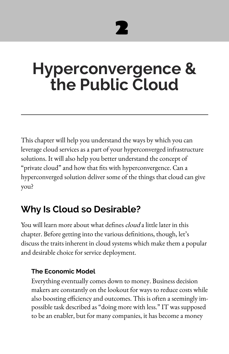# 2

# <span id="page-11-0"></span>**Hyperconvergence & the Public Cloud**

This chapter will help you understand the ways by which you can leverage cloud services as a part of your hyperconverged infrastructure solutions. It will also help you better understand the concept of "private cloud" and how that fits with hyperconvergence. Can a hyperconverged solution deliver some of the things that cloud can give you?

### **Why Is Cloud so Desirable?**

You will learn more about what defines *cloud* a little later in this chapter. Before getting into the various definitions, though, let's discuss the traits inherent in cloud systems which make them a popular and desirable choice for service deployment.

### **The Economic Model**

Everything eventually comes down to money. Business decision makers are constantly on the lookout for ways to reduce costs while also boosting efficiency and outcomes. This is often a seemingly impossible task described as "doing more with less." IT was supposed to be an enabler, but for many companies, it has become a money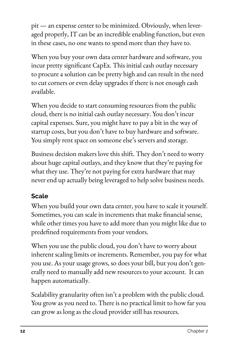pit — an expense center to be minimized. Obviously, when leveraged properly, IT can be an incredible enabling function, but even in these cases, no one wants to spend more than they have to.

When you buy your own data center hardware and software, you incur pretty significant CapEx. This initial cash outlay necessary to procure a solution can be pretty high and can result in the need to cut corners or even delay upgrades if there is not enough cash available.

When you decide to start consuming resources from the public cloud, there is no initial cash outlay necessary. You don't incur capital expenses. Sure, you might have to pay a bit in the way of startup costs, but you don't have to buy hardware and software. You simply rent space on someone else's servers and storage.

Business decision makers love this shift. They don't need to worry about huge capital outlays, and they know that they're paying for what they use. They're not paying for extra hardware that may never end up actually being leveraged to help solve business needs.

### **Scale**

When you build your own data center, you have to scale it yourself. Sometimes, you can scale in increments that make financial sense, while other times you have to add more than you might like due to predefined requirements from your vendors.

When you use the public cloud, you don't have to worry about inherent scaling limits or increments. Remember, you pay for what you use. As your usage grows, so does your bill, but you don't generally need to manually add new resources to your account. It can happen automatically.

Scalability granularity often isn't a problem with the public cloud. You grow as you need to. There is no practical limit to how far you can grow as long as the cloud provider still has resources.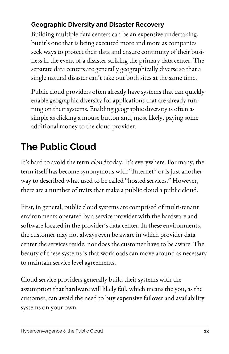### <span id="page-13-0"></span>**Geographic Diversity and Disaster Recovery**

Building multiple data centers can be an expensive undertaking, but it's one that is being executed more and more as companies seek ways to protect their data and ensure continuity of their business in the event of a disaster striking the primary data center. The separate data centers are generally geographically diverse so that a single natural disaster can't take out both sites at the same time.

Public cloud providers often already have systems that can quickly enable geographic diversity for applications that are already running on their systems. Enabling geographic diversity is often as simple as clicking a mouse button and, most likely, paying some additional money to the cloud provider.

### **The Public Cloud**

It's hard to avoid the term *cloud* today. It's everywhere. For many, the term itself has become synonymous with "Internet" or is just another way to described what used to be called "hosted services." However, there are a number of traits that make a public cloud a public cloud.

First, in general, public cloud systems are comprised of multi-tenant environments operated by a service provider with the hardware and software located in the provider's data center. In these environments, the customer may not always even be aware in which provider data center the services reside, nor does the customer have to be aware. The beauty of these systems is that workloads can move around as necessary to maintain service level agreements.

Cloud service providers generally build their systems with the assumption that hardware will likely fail, which means the you, as the customer, can avoid the need to buy expensive failover and availability systems on your own.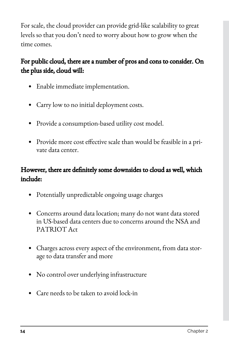For scale, the cloud provider can provide grid-like scalability to great levels so that you don't need to worry about how to grow when the time comes.

### For public cloud, there are a number of pros and cons to consider. On the plus side, cloud will:

- Enable immediate implementation.
- Carry low to no initial deployment costs.
- Provide a consumption-based utility cost model.
- Provide more cost effective scale than would be feasible in a private data center.

### However, there are definitely some downsides to cloud as well, which include:

- Potentially unpredictable ongoing usage charges
- Concerns around data location; many do not want data stored in US-based data centers due to concerns around the NSA and PATRIOT Act
- Charges across every aspect of the environment, from data storage to data transfer and more
- No control over underlying infrastructure
- Care needs to be taken to avoid lock-in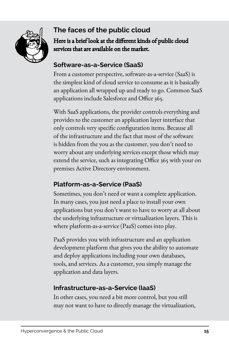

### **The faces of the public cloud**  Here is a brief look at the different kinds of public cloud services that are available on the market.

#### **Software-as-a-Service (SaaS)**

From a customer perspective, software-as-a-service (SaaS) is the simplest kind of cloud service to consume as it is basically an application all wrapped up and ready to go. Common SaaS applications include Salesforce and Office 365.

With SaaS applications, the provider controls everything and provides to the customer an application layer interface that only controls very specific configuration items. Because all of the infrastructure and the fact that most of the software is hidden from the you as the customer, you don't need to worry about any underlying services except those which may extend the service, such as integrating Office 365 with your on premises Active Directory environment.

### **Platform-as-a-Service (PaaS)**

Sometimes, you don't need or want a complete application. In many cases, you just need a place to install your own applications but you don't want to have to worry at all about the underlying infrastructure or virtualization layers. This is where platform-as-a-service (PaaS) comes into play.

PaaS provides you with infrastructure and an application development platform that gives you the ability to automate and deploy applications including your own databases, tools, and services. As a customer, you simply manage the application and data layers.

### **Infrastructure-as-a-Service (IaaS)**

In other cases, you need a bit more control, but you still may not want to have to directly manage the virtualization,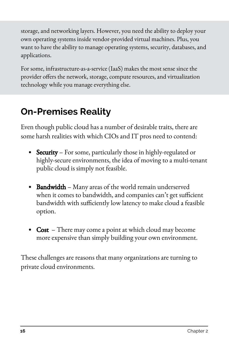<span id="page-16-0"></span>storage, and networking layers. However, you need the ability to deploy your own operating systems inside vendor-provided virtual machines. Plus, you want to have the ability to manage operating systems, security, databases, and applications.

For some, infrastructure-as-a-service (IaaS) makes the most sense since the provider offers the network, storage, compute resources, and virtualization technology while you manage everything else.

### **On-Premises Reality**

Even though public cloud has a number of desirable traits, there are some harsh realities with which CIOs and IT pros need to contend:

- Security For some, particularly those in highly-regulated or highly-secure environments, the idea of moving to a multi-tenant public cloud is simply not feasible.
- Bandwidth Many areas of the world remain underserved when it comes to bandwidth, and companies can't get sufficient bandwidth with sufficiently low latency to make cloud a feasible option.
- **Cost** There may come a point at which cloud may become more expensive than simply building your own environment.

These challenges are reasons that many organizations are turning to private cloud environments.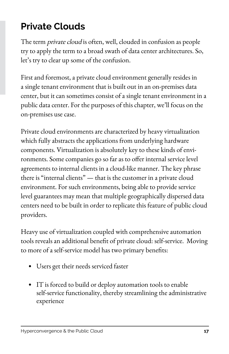### <span id="page-17-0"></span>**Private Clouds**

The term *private cloud* is often, well, clouded in confusion as people try to apply the term to a broad swath of data center architectures. So, let's try to clear up some of the confusion.

First and foremost, a private cloud environment generally resides in a single tenant environment that is built out in an on-premises data center, but it can sometimes consist of a single tenant environment in a public data center. For the purposes of this chapter, we'll focus on the on-premises use case.

Private cloud environments are characterized by heavy virtualization which fully abstracts the applications from underlying hardware components. Virtualization is absolutely key to these kinds of environments. Some companies go so far as to offer internal service level agreements to internal clients in a cloud-like manner. The key phrase there is "internal clients" — that is the customer in a private cloud environment. For such environments, being able to provide service level guarantees may mean that multiple geographically dispersed data centers need to be built in order to replicate this feature of public cloud providers.

Heavy use of virtualization coupled with comprehensive automation tools reveals an additional benefit of private cloud: self-service. Moving to more of a self-service model has two primary benefits:

- Users get their needs serviced faster
- IT is forced to build or deploy automation tools to enable self-service functionality, thereby streamlining the administrative experience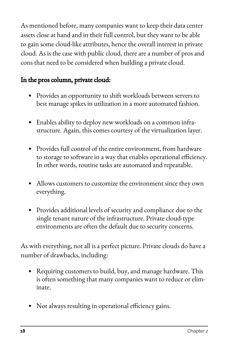As mentioned before, many companies want to keep their data center assets close at hand and in their full control, but they want to be able to gain some cloud-like attributes, hence the overall interest in private cloud. As is the case with public cloud, there are a number of pros and cons that need to be considered when building a private cloud.

### In the pros column, private cloud:

- Provides an opportunity to shift workloads between servers to best manage spikes in utilization in a more automated fashion.
- Enables ability to deploy new workloads on a common infrastructure. Again, this comes courtesy of the virtualization layer.
- Provides full control of the entire environment, from hardware to storage to software in a way that enables operational efficiency. In other words, routine tasks are automated and repeatable.
- Allows customers to customize the environment since they own everything.
- Provides additional levels of security and compliance due to the single tenant nature of the infrastructure. Private cloud-type environments are often the default due to security concerns.

As with everything, not all is a perfect picture. Private clouds do have a number of drawbacks, including:

- Requiring customers to build, buy, and manage hardware. This is often something that many companies want to reduce or eliminate.
- Not always resulting in operational efficiency gains.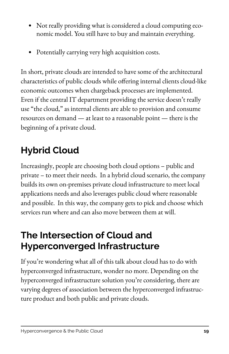- <span id="page-19-0"></span>• Not really providing what is considered a cloud computing economic model. You still have to buy and maintain everything.
- Potentially carrying very high acquisition costs.

In short, private clouds are intended to have some of the architectural characteristics of public clouds while offering internal clients cloud-like economic outcomes when chargeback processes are implemented. Even if the central IT department providing the service doesn't really use "the cloud," as internal clients are able to provision and consume resources on demand — at least to a reasonable point — there is the beginning of a private cloud.

### **Hybrid Cloud**

Increasingly, people are choosing both cloud options – public and private – to meet their needs. In a hybrid cloud scenario, the company builds its own on-premises private cloud infrastructure to meet local applications needs and also leverages public cloud where reasonable and possible. In this way, the company gets to pick and choose which services run where and can also move between them at will.

### **The Intersection of Cloud and Hyperconverged Infrastructure**

If you're wondering what all of this talk about cloud has to do with hyperconverged infrastructure, wonder no more. Depending on the hyperconverged infrastructure solution you're considering, there are varying degrees of association between the hyperconverged infrastructure product and both public and private clouds.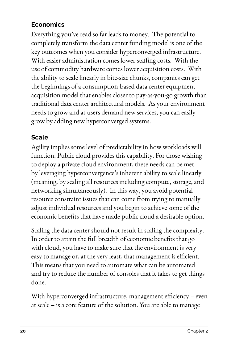#### **Economics**

Everything you've read so far leads to money. The potential to completely transform the data center funding model is one of the key outcomes when you consider hyperconverged infrastructure. With easier administration comes lower staffing costs. With the use of commodity hardware comes lower acquisition costs. With the ability to scale linearly in bite-size chunks, companies can get the beginnings of a consumption-based data center equipment acquisition model that enables closer to pay-as-you-go growth than traditional data center architectural models. As your environment needs to grow and as users demand new services, you can easily grow by adding new hyperconverged systems.

#### **Scale**

Agility implies some level of predictability in how workloads will function. Public cloud provides this capability. For those wishing to deploy a private cloud environment, these needs can be met by leveraging hyperconvergence's inherent ability to scale linearly (meaning, by scaling all resources including compute, storage, and networking simultaneously). In this way, you avoid potential resource constraint issues that can come from trying to manually adjust individual resources and you begin to achieve some of the economic benefits that have made public cloud a desirable option.

Scaling the data center should not result in scaling the complexity. In order to attain the full breadth of economic benefits that go with cloud, you have to make sure that the environment is very easy to manage or, at the very least, that management is efficient. This means that you need to automate what can be automated and try to reduce the number of consoles that it takes to get things done.

With hyperconverged infrastructure, management efficiency – even at scale – is a core feature of the solution. You are able to manage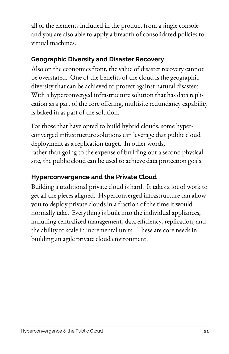all of the elements included in the product from a single console and you are also able to apply a breadth of consolidated policies to virtual machines.

### **Geographic Diversity and Disaster Recovery**

Also on the economics front, the value of disaster recovery cannot be overstated. One of the benefits of the cloud is the geographic diversity that can be achieved to protect against natural disasters. With a hyperconverged infrastructure solution that has data replication as a part of the core offering, multisite redundancy capability is baked in as part of the solution.

For those that have opted to build hybrid clouds, some hyperconverged infrastructure solutions can leverage that public cloud deployment as a replication target. In other words, rather than going to the expense of building out a second physical site, the public cloud can be used to achieve data protection goals.

#### **Hyperconvergence and the Private Cloud**

Building a traditional private cloud is hard. It takes a lot of work to get all the pieces aligned. Hyperconverged infrastructure can allow you to deploy private clouds in a fraction of the time it would normally take. Everything is built into the individual appliances, including centralized management, data efficiency, replication, and the ability to scale in incremental units. These are core needs in building an agile private cloud environment.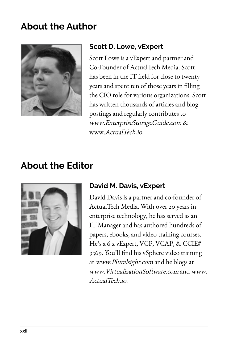### <span id="page-22-0"></span>**About the Author**



#### **Scott D. Lowe, vExpert**

Scott Lowe is a vExpert and partner and Co-Founder of ActualTech Media. Scott has been in the IT field for close to twenty years and spent ten of those years in filling the CIO role for various organizations. Scott has written thousands of articles and blog postings and regularly contributes to www.EnterpriseStorageGuide.com & www.ActualTech.io.

### **About the Editor**



### **David M. Davis, vExpert**

David Davis is a partner and co-founder of ActualTech Media. With over 20 years in enterprise technology, he has served as an IT Manager and has authored hundreds of papers, ebooks, and video training courses. He's a 6 x vExpert, VCP, VCAP, & CCIE# 9369. You'll find his vSphere video training at www.Pluralsight.com and he blogs at www.VirtualizationSoftware.com and www. ActualTech.io.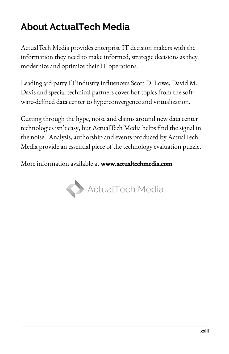### <span id="page-23-0"></span>**About ActualTech Media**

ActualTech Media provides enterprise IT decision makers with the information they need to make informed, strategic decisions as they modernize and optimize their IT operations.

Leading 3rd party IT industry influencers Scott D. Lowe, David M. Davis and special technical partners cover hot topics from the software-defined data center to hyperconvergence and virtualization.

Cutting through the hype, noise and claims around new data center technologies isn't easy, but ActualTech Media helps find the signal in the noise. Analysis, authorship and events produced by ActualTech Media provide an essential piece of the technology evaluation puzzle.

More information available at www.actualtechmedia.com

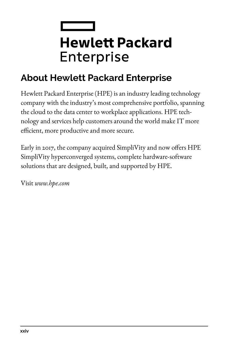## <span id="page-24-0"></span> $\mathcal{L}^{\text{max}}_{\text{max}}$  , where  $\mathcal{L}^{\text{max}}_{\text{max}}$ **Hewlett Packard** Enterprise

### **About Hewlett Packard Enterprise**

Hewlett Packard Enterprise (HPE) is an industry leading technology company with the industry's most comprehensive portfolio, spanning the cloud to the data center to workplace applications. HPE technology and services help customers around the world make IT more efficient, more productive and more secure.

Early in 2017, the company acquired SimpliVity and now offers HPE SimpliVity hyperconverged systems, complete hardware-software solutions that are designed, built, and supported by HPE.

Visit *www.hpe.com*